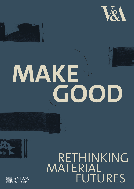



# MAKE





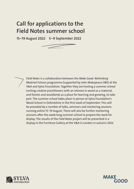# **Call for applications to the Field Notes summer school**

**15–19 August 2022 5–9 September 2022** 





*Field Notes* is a collaboration between the *Make Good: Rethinking Material Futures* programme (supported by John Makepeace OBE) at the V&A and Sylva Foundation. Together they are hosting a summer school inviting creative practitioners with an interest in wood as a material, and forests and woodlands as a place for learning and growing, to take part. The summer school takes place in person at Sylva Foundation's Wood School in Oxfordshire in the frst week of September. This will be preceded by a number of talks, seminars and mentoring sessions running online 15–19 August. There will also be further mentoring sessions after the week-long summer school to prepare the work for display. The results of the *Field Notes* project will be presented in a display in the Furniture Gallery at the V&A in London in autumn 2022.



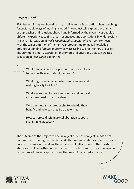# **Project Brief**

*Field Notes* will explore how diversity in all its forms is essential when searching for sustainable ways of making in wood. The project will explore a plurality of approaches and solutions shaped and informed by the diversity of people's diferent experiences to fnd broad resonances and applications in wider society. As such, this iteration of *Make Good: Rethinking Material Futures* connects with the wider ambition of the ten-year programme to make knowledge around sustainable forestry more widely accessible to practitioners of design. The summer school is searching for prompts and questions that can create a collection of *Field Notes* exploring:

What it means on both a personal and societal level to make with local, natural materials?

What might sustainable systems for sourcing and making locally look like?

What environmental, socio-economic and political structures need to be considered?

Who are these structures useful to, who do they beneft and how can they be transformed?

How can cross-disciplinary collaboration support sustainable practices?

The outcome of the project will be an object or series of objects made from underutilised, home-grown timber and other natural materials, sourced locally on site. The process of making these pieces will refect some of the questions above and will be further contextualised with refections on the summer-school in the form of imagery, spoken or written word, flm or performance.



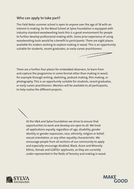### **Who can apply to take part?**

The *Field Notes* summer school is open to anyone over the age of 18 with an interest in making. As the Wood School at Sylva Foundation is equipped with industry-standard woodworking tools this is a great environment for people to further develop professional making skills. Some prior experience of using woodworking tools would be a beneft to participants. There are eight places available for makers wishing to explore making in wood. This is an opportunity suitable for students, recent graduates, or early-career practitioners.



There are a further four places for embedded observers, to learn from and capture the programme in some format other than making in wood, for example through writing, sketching, podcast making, flm making, or photography. This is an opportunity suitable for students, recent graduates, or early-career practitioners. Mentors will be available to all participants, to help realise the diferent projects.

At the V&A and Sylva Foundation we strive to ensure that opportunities to work and develop are open to all. We treat all applications equally, regardless of age, disability, gender identity or gender expression, race, ethnicity, religion or belief, sexual orientation, or any other equality characteristic. We encourage people from all sections of our community to apply and especially encourage disabled, Black, Asian and Minority Ethnic, female and LGBTQ+ applicants, as they are currently under-represented in the felds of forestry and making in wood.



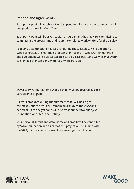# **Stipend and agreements**

Each participant will receive a £1000 stipend to take part in the summer school and produce work for *Field Notes*.

Each participant will be asked to sign an agreement that they are committing to completing the programme and submit completed work on time for the display.

Food and accommodation is paid for during the week at Sylva Foundation's Wood School, as are materials and tools for making in wood. Other materials and equipment will be discussed on a case-by-case basis and we will endeavour to provide other tools and materials where possible.

Travel to Sylva Foundation's Wood School must be covered by each participant's stipend.

All work produced during the summer school will belong to the maker, but the work will remain on display at the V&A for a period of up to one year and will also exist on the V&A and Sylva Foundation websites in perpetuity.

Your personal details and data (name and email) will be controlled by Sylva Foundation and as part of this project will be shared with the V&A, for the sole purposes of reviewing your application.



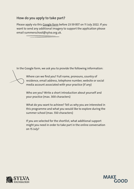## **How do you apply to take part?**

Please apply via this [Google form](https://forms.gle/aov7tBXzMg5QNEk49) before 23:59 BST on 11 July 2022. If you want to send any additional imagery to support the application please email [summerschool@sylva.org.uk](mailto:summerschool@sylva.org.uk).

In the Google form, we ask you to provide the following information:

Where can we fnd you? Full name, pronouns, country of residence, email address, telephone number, website or social media account associated with your practice (if any)

Who are you? Write a short introduction about yourself and your practice (max. 300 characters)

What do you want to achieve? Tell us why you are interested in this programme and what you would like to explore during the summer school (max. 550 characters)

If you are selected for the shortlist, what additional support might you need in order to take part in the online conversation on 15 July?



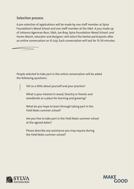### **Selection process**

A pre-selection of applications will be made by one staff member at Sylva Foundation's Wood School and one staff member at the V&A. A jury made up of Johanna Agerman Ross, V&A; Joe Bray, Sylva Foundation Wood School; and Huren Marsh, educator and designer; will select the twelve participants after an online conversation on 15 July. Each conversation will last for 15-20 minutes.

People selected to take part in the online conversation will be asked the following questions:

Tell us a little about yourself and your practice?

What is your interest in wood, forestry or forests and woodlands as a place for learning and growing?

What do you hope to learn through taking part in the *Field Notes* summer school?

Are you free to take part in the *Field Notes* summer school at the agreed dates?

Please describe any assistance you may require during the *Field Notes* summer school?



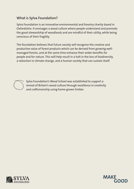## **What is Sylva Foundation?**

Sylva Foundation is an innovative environmental and forestry charity based in Oxfordshire. It envisages a wood culture where people understand and promote the good stewardship of woodlands and are mindful of their utility, while being conscious of their fragility.

The foundation believes that future society will recognise the creative and productive value of forest products which can be derived from growing wellmanaged forests, and at the same time enhance their wider benefts for people and for nature. This will help result in a halt in the loss of biodiversity, a reduction in climate change, and a human society that can sustain itself.



Sylva Foundation's Wood School was established to support a revival of Britain's wood culture through excellence in creativity and craftsmanship using home-grown timber.



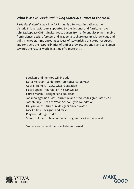### **What is** *Make Good: Rethinking Material Futures* **at the V&A?**

*Make Good: Rethinking Material Futures* is a ten-year initiative at the Victoria & Albert Museum supported by the designer and furniture maker John Makepeace OBE. It invites practitioners from diferent disciplines ranging from science, design, forestry and academia to share research, knowledge and skills. The programme encourages ideas of stewardship of natural resources and considers the responsibilities of timber-growers, designers and consumers towards the natural world in a time of climate crisis.

Speakers and mentors will include: Dana Melchar – senior furniture conservator, V&A Gabriel Hemery – CEO, Sylva Foundation Hattie Speed – founder of This Girl Makes Huren Marsh – designer and educator Johanna Agerman Ross – furniture and product design curator, V&A Joseph Bray – head of Wood School, Sylva Foundation Dr Lynn Jones – furniture designer and educator Mac Collins – designer and maker Playfool – design studio Sumitra Upham – head of public programmes, Crafts Council

\*more speakers and mentors to be confrmed



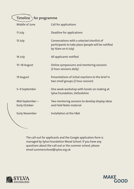**Timeline** for programme

| Middle of June                         | <b>Call for applications</b>                                                                                            |
|----------------------------------------|-------------------------------------------------------------------------------------------------------------------------|
| 11 July                                | Deadline for applications                                                                                               |
| 15 July                                | Conversations with a selected shortlist of<br>participants to take place (people will be notified<br>by 10am on 6 July) |
| 16 July                                | All applicants notified                                                                                                 |
| 15-18 August                           | Online symposiums and mentoring sessions<br>(2 hour sessions daily)                                                     |
| 19 August                              | Presentations of initial reactions to the brief in<br>two small groups (2 hour session)                                 |
| 5-9 September                          | One week-workshop with hands-on making at<br>Sylva Foundation, Oxfordshire                                              |
| Mid-September-<br><b>Early October</b> | Two mentoring sessions to develop display ideas<br>and Field Notes material                                             |
| <b>Early November</b>                  | Installation at the V&A                                                                                                 |

The call-out for applicants and the Google application form is managed by Sylva Foundation Wood School. If you have any questions about the call-out or the summer school, please email [summerschool@sylva.org.uk](mailto:summerschool@sylva.org.uk)